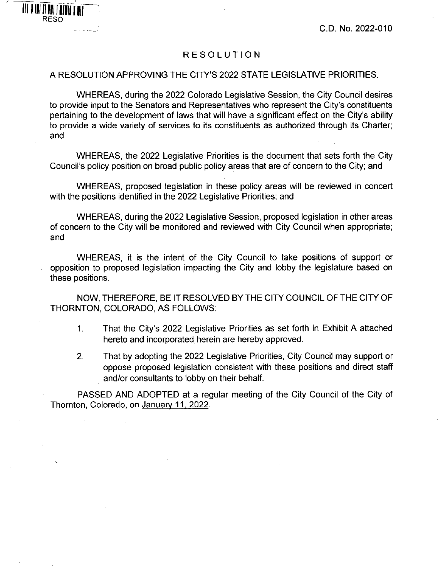## RESOLUTION

## A RESOLUTION APPROVING THE CITY'S 2022 STATE LEGISLATIVE PRIORITIES.

**I**

RESO

WHEREAS, during the 2022 Colorado Legislative Session, the City Council desires to provide input to the Senators and Representatives who represent the City's constituents pertaining to the development of laws that will have a significant effect on the City's ability to provide a wide variety of services to its constituents as authorized through its Charter; and

WHEREAS, the 2022 Legislative Priorities is the document that sets forth the City Council's policy position on broad public policy areas that are of concern to the City; and

WHEREAS, proposed legislation in these policy areas will be reviewed in concert with the positions identified in the 2022 Legislative Priorities; and

WHEREAS, during the 2022 Legislative Session, proposed legislation in other areas of concern to the City will be monitored and reviewed with City Council when appropriate; and

WHEREAS, it is the intent of the City Council to take positions of support or opposition to proposed legislation impacting the City and lobby the legislature based on these positions.

NOW, THEREFORE, BE IT RESOLVED BY THE CITY COUNCIL OF THE CITY OF THORNTON, COLORADO, AS FOLLOWS:

- 1. That the City's 2022 Legislative Priorities as set forth in Exhibit A attached hereto and incorporated herein are hereby approved.
- 2. That by adopting the 2022 Legislative Priorities, City Council may support or oppose proposed legislation consistent with these positions and direct staff and/or consultants to lobby on their behalf.

PASSED AND ADOPTED at a regular meeting of the City Council of the City of Thornton, Colorado, on January 11,2022.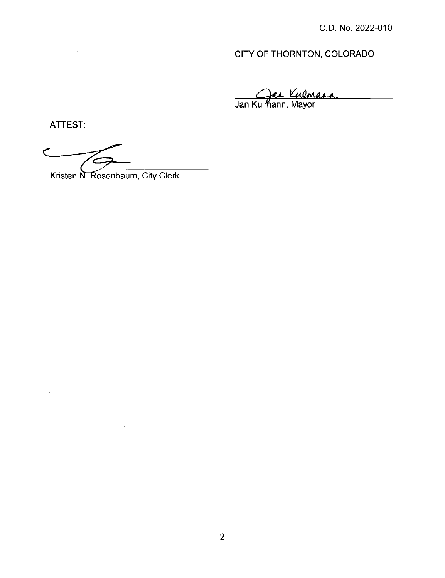# CITY OF THORNTON, COLORADO

Jan Kulmann, Mayor

ATTEST:

Kristen N. Rosenbaum, City Clerk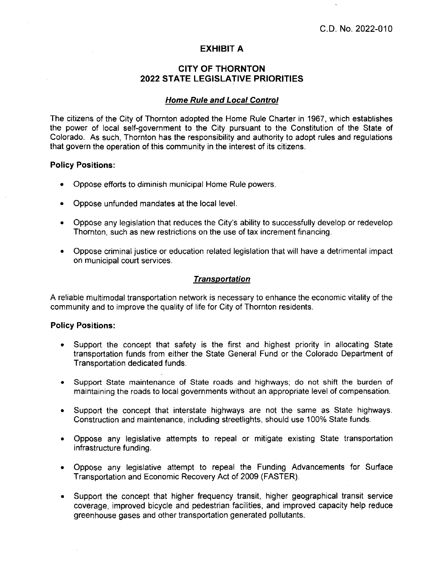## **EXHIBIT A**

## **CITY OF THORNTON 2022 STATE LEGISLATIVE PRIORITIES**

#### *Home Rule and Local Control*

The citizens of the City of Thornton adopted the Home Rule Charter in 1967, which establishes the power of local self-government to the City pursuant to the Constitution of the State of Colorado. As such, Thornton has the responsibility and authority to adopt rules and regulations that govern the operation of this community in the interest of its citizens.

#### **Policy Positions:**

- Oppose efforts to diminish municipal Home Rule powers.
- Oppose unfunded mandates at the local level.
- Oppose any legislation that reduces the City's ability to successfully develop or redevelop Thornton, such as new restrictions on the use of tax increment financing.
- Oppose criminal justice or education related legislation that will have a detrimental impact on municipal court services.

## *Transportation*

A reliable multimodal transportation network is necessary to enhance the economic vitality of the community and to improve the quality of life for City of Thornton residents.

#### **Policy Positions:**

- Support the concept that safety is the first and highest priority in allocating State transportation funds from either the State General Fund or the Colorado Department of Transportation dedicated funds.
- $\bullet$ Support State maintenance of State roads and highways; do not shift the burden of maintaining the roads to local governments without an appropriate level of compensation.
- Support the concept that interstate highways are not the same as State highways. Construction and maintenance, including streetlights, should use 100% State funds.
- Oppose any legislative attempts to repeal or mitigate existing State transportation infrastructure funding.
- Oppose any legislative attempt to repeal the Funding Advancements for Surface Transportation and Economic Recovery Act of 2009 (FASTER).
- Support the concept that higher frequency transit, higher geographical transit service  $\bullet$ coverage, improved bicycle and pedestrian facilities, and improved capacity help reduce greenhouse gases and other transportation generated pollutants.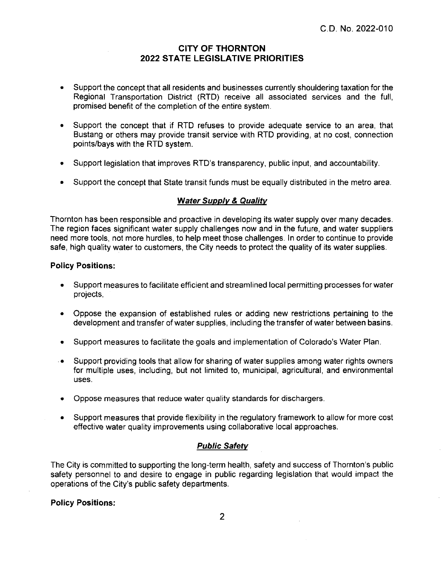## **CITY OF THORNTON 2022 STATE LEGISLATIVE PRIORITIES**

- Support the concept that all residents and businesses currently shouldering taxation for the Regional Transportation District (RTD) receive all associated services and the full, promised benefit of the completion of the entire system.
- Support the concept that if RTD refuses to provide adequate service to an area, that Bustang or others may provide transit service with RTD providing, at no cost, connection points/bays with the RTD system.
- Support legislation that improves RTD's transparency, public input, and accountability.
- Support the concept that State transit funds must be equally distributed in the metro area.

### *\Nater Supply & Quality*

Thornton has been responsible and proactive in developing its water supply over many decades. The region faces significant water supply challenges now and in the future, and water suppliers need more tools, not more hurdles, to help meet those challenges. In order to continue to provide safe, high quality water to customers, the City needs to protect the quality of its water supplies.

#### **Policy Positions:**

- Support measures to facilitate efficient and streamlined local permitting processes for water projects.
- Oppose the expansion of established rules or adding new restrictions pertaining to the development and transfer of water supplies, including the transfer of water between basins.
- Support measures to facilitate the goals and implementation of Colorado's Water Plan.
- Support providing tools that allow for sharing of water supplies among water rights owners for multiple uses, including, but not limited to, municipal, agricultural, and environmental uses.
- Oppose measures that reduce water quality standards for dischargers.
- Support measures that provide flexibility in the regulatory framework to allow for more cost effective water quality improvements using collaborative local approaches.

## *Public Safety*

The City is committed to supporting the long-term health, safety and success of Thornton's public safety personnel to and desire to engage in public regarding legislation that would impact the operations of the City's public safety departments.

#### **Policy Positions;**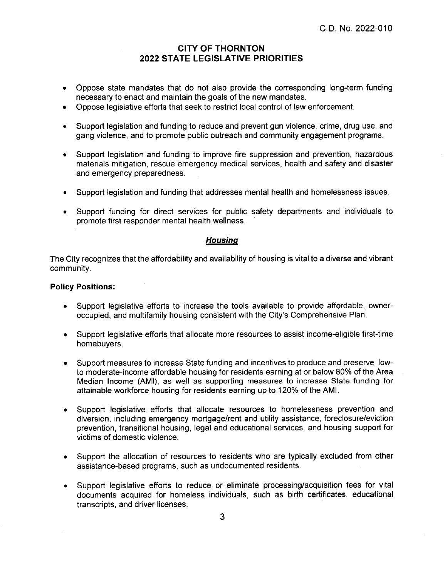## **CITY OF THORNTON 2022 STATE LEGISLATIVE PRIORITIES**

- Oppose state mandates that do not also provide the corresponding long-term funding necessary to enact and maintain the goals of the new mandates.
- Oppose legislative efforts that seek to restrict local control of law enforcement.
- Support legislation and funding to reduce and prevent gun violence, crime, drug use, and  $\bullet$ gang violence, and to promote public outreach and community engagement programs.
- Support legislation and funding to improve fire suppression and prevention, hazardous  $\bullet$ materials mitigation, rescue emergency medical services, health and safety and disaster and emergency preparedness.
- Support legislation and funding that addresses mental health and homelessness issues.
- Support funding for direct services for public safety departments and individuals to promote first responder mental health wellness.

### *Housina*

The City recognizes that the affordability and availability of housing is vital to a diverse and vibrant community.

#### **Policy Positions:**

- Support legislative efforts to increase the tools available to provide affordable, owneroccupied, and multifamily housing consistent with the City's Comprehensive Plan.
- Support legislative efforts that allocate more resources to assist income-eligible first-time  $\bullet$ homebuyers.
- Support measures to increase State funding and incentives to produce and preserve low- $\bullet$ to moderate-income affordable housing for residents earning at or below 80% of the Area Median Income (AMI), as well as supporting measures to increase State funding for attainable workforce housing for residents earning up to 120% of the AMI.
- Support legislative efforts that allocate resources to homelessness prevention and  $\bullet$ diversion, including emergency mortgage/rent and utility assistance, foreclosure/eviction prevention, transitional housing, legal and educational services, and housing support for victims of domestic violence.
- Support the allocation of resources to residents who are typically excluded from other assistance-based programs, such as undocumented residents.
- Support legislative efforts to reduce or eliminate processing/acquisition fees for vital  $\bullet$ documents acquired for homeless individuals, such as birth certificates, educational transcripts, and driver licenses.